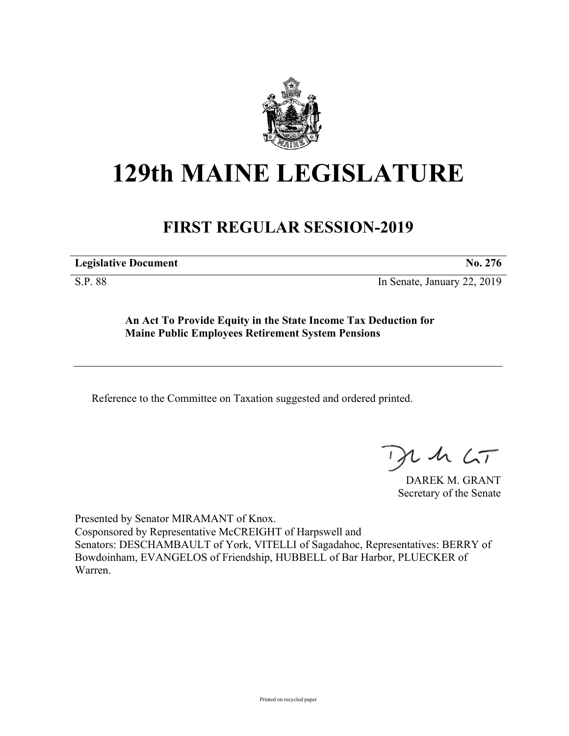

## **129th MAINE LEGISLATURE**

## **FIRST REGULAR SESSION-2019**

**Legislative Document No. 276**

S.P. 88 In Senate, January 22, 2019

**An Act To Provide Equity in the State Income Tax Deduction for Maine Public Employees Retirement System Pensions**

Reference to the Committee on Taxation suggested and ordered printed.

 $125$ 

DAREK M. GRANT Secretary of the Senate

Presented by Senator MIRAMANT of Knox. Cosponsored by Representative McCREIGHT of Harpswell and Senators: DESCHAMBAULT of York, VITELLI of Sagadahoc, Representatives: BERRY of Bowdoinham, EVANGELOS of Friendship, HUBBELL of Bar Harbor, PLUECKER of Warren.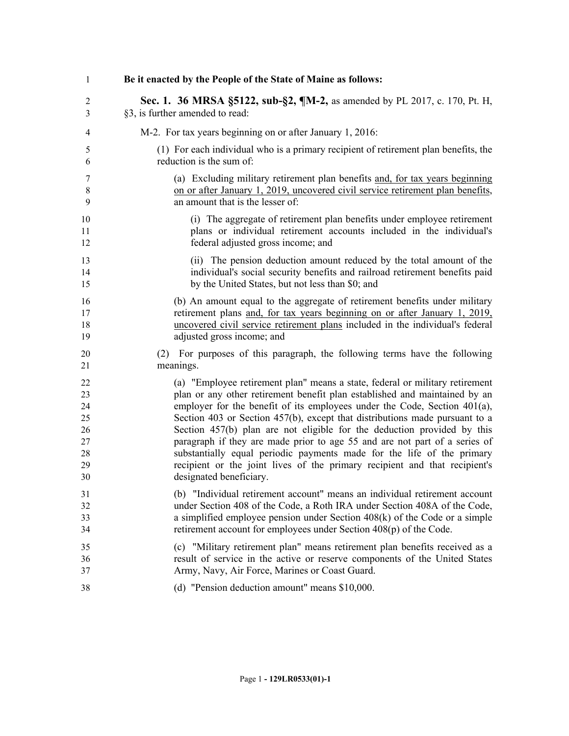| $\mathbf{1}$   | Be it enacted by the People of the State of Maine as follows:                              |
|----------------|--------------------------------------------------------------------------------------------|
| $\overline{2}$ | Sec. 1. 36 MRSA §5122, sub-§2, ¶M-2, as amended by PL 2017, c. 170, Pt. H,                 |
| 3              | §3, is further amended to read:                                                            |
| 4              | M-2. For tax years beginning on or after January 1, 2016:                                  |
| 5              | (1) For each individual who is a primary recipient of retirement plan benefits, the        |
| 6              | reduction is the sum of:                                                                   |
| 7              | (a) Excluding military retirement plan benefits and, for tax years beginning               |
| $\,$ 8 $\,$    | on or after January 1, 2019, uncovered civil service retirement plan benefits,             |
| 9              | an amount that is the lesser of:                                                           |
| 10             | (i) The aggregate of retirement plan benefits under employee retirement                    |
| 11             | plans or individual retirement accounts included in the individual's                       |
| 12             | federal adjusted gross income; and                                                         |
| 13             | (ii) The pension deduction amount reduced by the total amount of the                       |
| 14             | individual's social security benefits and railroad retirement benefits paid                |
| 15             | by the United States, but not less than \$0; and                                           |
| 16             | (b) An amount equal to the aggregate of retirement benefits under military                 |
| 17             | retirement plans and, for tax years beginning on or after January 1, 2019,                 |
| 18             | uncovered civil service retirement plans included in the individual's federal              |
| 19             | adjusted gross income; and                                                                 |
| 20<br>21       | For purposes of this paragraph, the following terms have the following<br>(2)<br>meanings. |
| 22             | (a) "Employee retirement plan" means a state, federal or military retirement               |
| 23             | plan or any other retirement benefit plan established and maintained by an                 |
| 24             | employer for the benefit of its employees under the Code, Section $401(a)$ ,               |
| 25             | Section 403 or Section 457(b), except that distributions made pursuant to a                |
| 26             | Section 457(b) plan are not eligible for the deduction provided by this                    |
| 27             | paragraph if they are made prior to age 55 and are not part of a series of                 |
| 28             | substantially equal periodic payments made for the life of the primary                     |
| 29             | recipient or the joint lives of the primary recipient and that recipient's                 |
| 30             | designated beneficiary.                                                                    |
| 31             | (b) "Individual retirement account" means an individual retirement account                 |
| 32             | under Section 408 of the Code, a Roth IRA under Section 408A of the Code,                  |
| 33             | a simplified employee pension under Section $408(k)$ of the Code or a simple               |
| 34             | retirement account for employees under Section 408(p) of the Code.                         |
| 35             | (c) "Military retirement plan" means retirement plan benefits received as a                |
| 36             | result of service in the active or reserve components of the United States                 |
| 37             | Army, Navy, Air Force, Marines or Coast Guard.                                             |
| 38             | (d) "Pension deduction amount" means \$10,000.                                             |